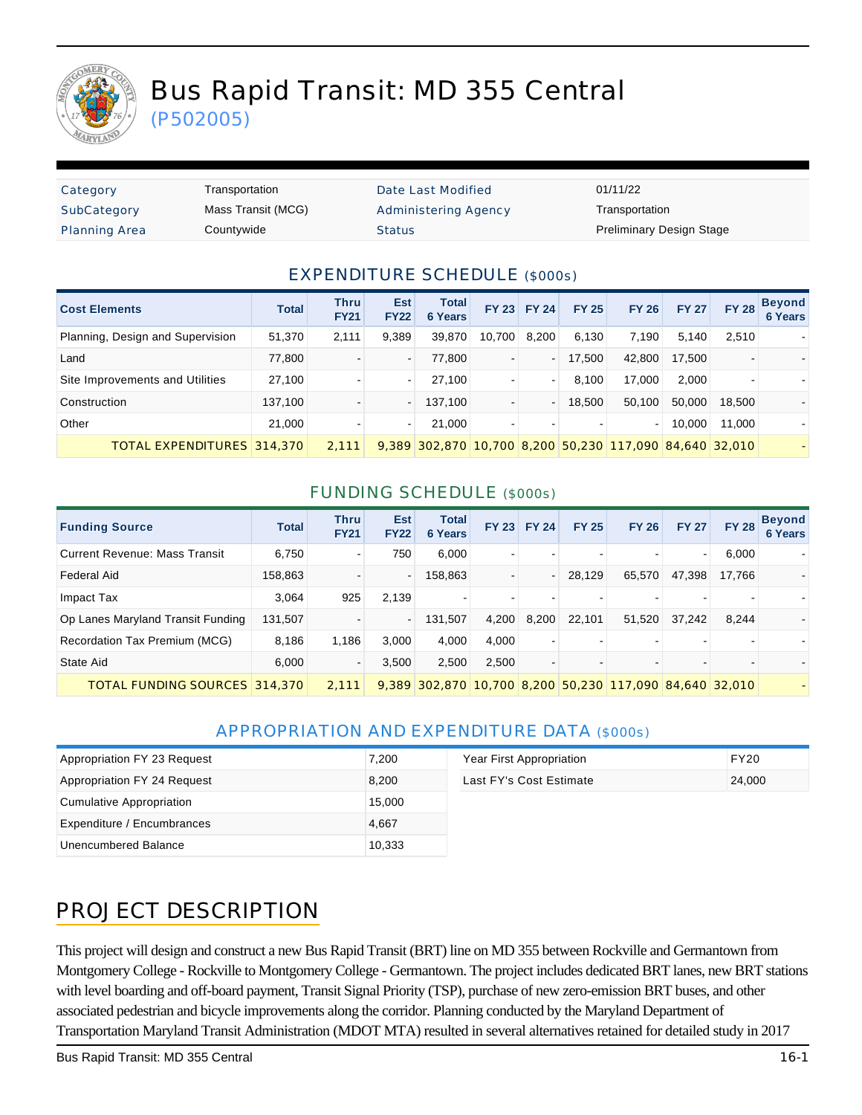

# Bus Rapid Transit: MD 355 Central

(P502005)

| Category             | т |
|----------------------|---|
| SubCategory          | М |
| <b>Planning Area</b> | С |

ransportation Date Last Modified 01/11/22 lass Transit (MCG) **Mass Transportation** Administering Agency **Transportation** 

Preliminary Design Status Status Area Countywide County Preliminary Design Stage

#### EXPENDITURE SCHEDULE (\$000s)

| <b>Cost Elements</b>             | <b>Total</b> | <b>Thru</b><br><b>FY21</b> | <b>Est</b><br><b>FY22</b> | <b>Total</b><br>6 Years                                 |        | FY 23 FY 24              | <b>FY 25</b> | <b>FY 26</b> | <b>FY 27</b> | <b>FY 28</b> | <b>Beyond</b><br>6 Years |
|----------------------------------|--------------|----------------------------|---------------------------|---------------------------------------------------------|--------|--------------------------|--------------|--------------|--------------|--------------|--------------------------|
| Planning, Design and Supervision | 51,370       | 2,111                      | 9,389                     | 39,870                                                  | 10,700 | 8,200                    | 6,130        | 7.190        | 5,140        | 2,510        |                          |
| Land                             | 77,800       |                            | $\blacksquare$            | 77,800                                                  |        | $\overline{\phantom{0}}$ | 17,500       | 42,800       | 17.500       |              |                          |
| Site Improvements and Utilities  | 27,100       |                            | $\sim$                    | 27.100                                                  |        | $\blacksquare$           | 8,100        | 17.000       | 2,000        |              |                          |
| Construction                     | 137,100      |                            |                           | 137,100                                                 |        | -                        | 18,500       | 50.100       | 50.000       | 18,500       |                          |
| Other                            | 21.000       |                            | $\sim$                    | 21.000                                                  |        |                          |              | $\sim$       | 10.000       | 11.000       |                          |
| TOTAL EXPENDITURES 314.370       |              | 2.111                      |                           | 9,389 302,870 10,700 8,200 50,230 117,090 84,640 32,010 |        |                          |              |              |              |              |                          |

#### FUNDING SCHEDULE (\$000s)

| <b>Funding Source</b>                | <b>Total</b> | Thru<br><b>FY21</b> | <b>Est</b><br><b>FY22</b> | <b>Total</b><br>6 Years  | <b>FY 23</b> | <b>FY 24</b>             | <b>FY 25</b> | <b>FY 26</b>                                            | <b>FY 27</b> | <b>FY 28</b> | <b>Beyond</b><br><b>6 Years</b> |
|--------------------------------------|--------------|---------------------|---------------------------|--------------------------|--------------|--------------------------|--------------|---------------------------------------------------------|--------------|--------------|---------------------------------|
| <b>Current Revenue: Mass Transit</b> | 6,750        |                     | 750                       | 6,000                    |              |                          |              |                                                         | ۰            | 6,000        |                                 |
| <b>Federal Aid</b>                   | 158,863      |                     | $\blacksquare$            | 158,863                  |              | $\overline{\phantom{a}}$ | 28,129       | 65,570                                                  | 47,398       | 17.766       |                                 |
| Impact Tax                           | 3,064        | 925                 | 2,139                     | $\overline{\phantom{0}}$ |              |                          |              |                                                         |              |              |                                 |
| Op Lanes Maryland Transit Funding    | 131,507      |                     |                           | 131,507                  | 4.200        | 8,200                    | 22.101       | 51,520                                                  | 37,242       | 8.244        |                                 |
| Recordation Tax Premium (MCG)        | 8,186        | 1.186               | 3.000                     | 4,000                    | 4.000        |                          |              |                                                         |              |              |                                 |
| State Aid                            | 6,000        |                     | 3.500                     | 2,500                    | 2.500        |                          |              |                                                         |              |              |                                 |
| <b>TOTAL FUNDING SOURCES 314,370</b> |              | 2.111               |                           |                          |              |                          |              | 9,389 302,870 10,700 8,200 50,230 117,090 84,640 32,010 |              |              |                                 |

#### APPROPRIATION AND EXPENDITURE DATA (\$000s)

| Appropriation FY 23 Request | 7.200  | Year First Appropriation | FY20   |
|-----------------------------|--------|--------------------------|--------|
| Appropriation FY 24 Request | 8.200  | Last FY's Cost Estimate  | 24,000 |
| Cumulative Appropriation    | 15,000 |                          |        |
| Expenditure / Encumbrances  | 4,667  |                          |        |
| Unencumbered Balance        | 10,333 |                          |        |

# PROJECT DESCRIPTION

This project will design and construct a new Bus Rapid Transit (BRT) line on MD 355 between Rockville and Germantown from Montgomery College - Rockville to Montgomery College - Germantown. The project includes dedicated BRT lanes, new BRT stations with level boarding and off-board payment, Transit Signal Priority (TSP), purchase of new zero-emission BRT buses, and other associated pedestrian and bicycle improvements along the corridor. Planning conducted by the Maryland Department of Transportation Maryland Transit Administration (MDOT MTA) resulted in several alternatives retained for detailed study in 2017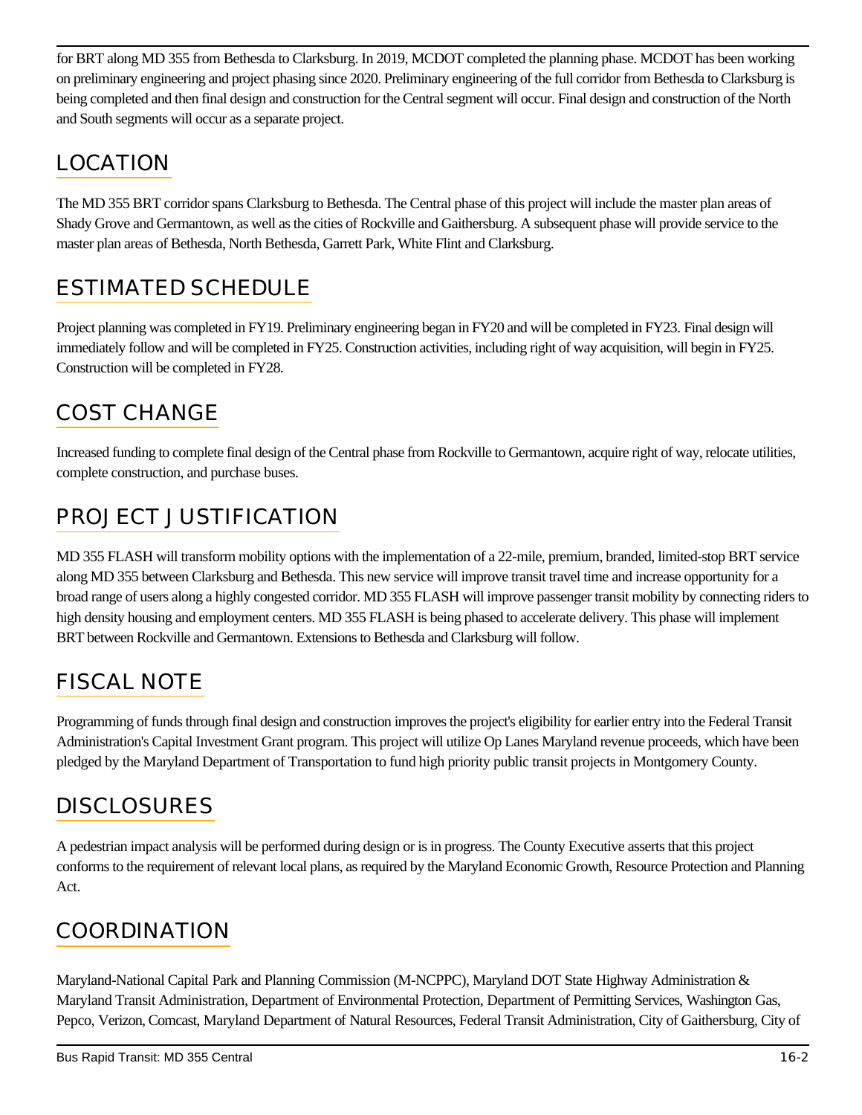for BRT along MD 355 from Bethesda to Clarksburg. In 2019, MCDOT completed the planning phase. MCDOT has been working on preliminary engineering and project phasing since 2020. Preliminary engineering of the full corridor from Bethesda to Clarksburg is being completed and then final design and construction for the Central segment will occur. Final design and construction of the North and South segments will occur as a separate project.

### LOCATION

The MD 355 BRT corridor spans Clarksburg to Bethesda. The Central phase of this project will include the master plan areas of Shady Grove and Germantown, as well as the cities of Rockville and Gaithersburg. A subsequent phase will provide service to the master plan areas of Bethesda, North Bethesda, Garrett Park, White Flint and Clarksburg.

### ESTIMATED SCHEDULE

Project planning was completed in FY19. Preliminary engineering began in FY20 and will be completed in FY23. Final design will immediately follow and will be completed in FY25. Construction activities, including right of way acquisition, will begin in FY25. Construction will be completed in FY28.

# COST CHANGE

Increased funding to complete final design of the Central phase from Rockville to Germantown, acquire right of way, relocate utilities, complete construction, and purchase buses.

# PROJECT JUSTIFICATION

MD 355 FLASH will transform mobility options with the implementation of a 22-mile, premium, branded, limited-stop BRT service along MD 355 between Clarksburg and Bethesda. This new service will improve transit travel time and increase opportunity for a broad range of users along a highly congested corridor. MD 355 FLASH will improve passenger transit mobility by connecting riders to high density housing and employment centers. MD 355 FLASH is being phased to accelerate delivery. This phase will implement BRT between Rockville and Germantown. Extensions to Bethesda and Clarksburg will follow.

### FISCAL NOTE

Programming of funds through final design and construction improves the project's eligibility for earlier entry into the Federal Transit Administration's Capital Investment Grant program. This project will utilize Op Lanes Maryland revenue proceeds, which have been pledged by the Maryland Department of Transportation to fund high priority public transit projects in Montgomery County.

# **DISCLOSURES**

A pedestrian impact analysis will be performed during design or is in progress. The County Executive asserts that this project conforms to the requirement of relevant local plans, as required by the Maryland Economic Growth, Resource Protection and Planning Act.

#### **COORDINATION**

Maryland-National Capital Park and Planning Commission (M-NCPPC), Maryland DOT State Highway Administration & Maryland Transit Administration, Department of Environmental Protection, Department of Permitting Services, Washington Gas, Pepco, Verizon, Comcast, Maryland Department of Natural Resources, Federal Transit Administration, City of Gaithersburg, City of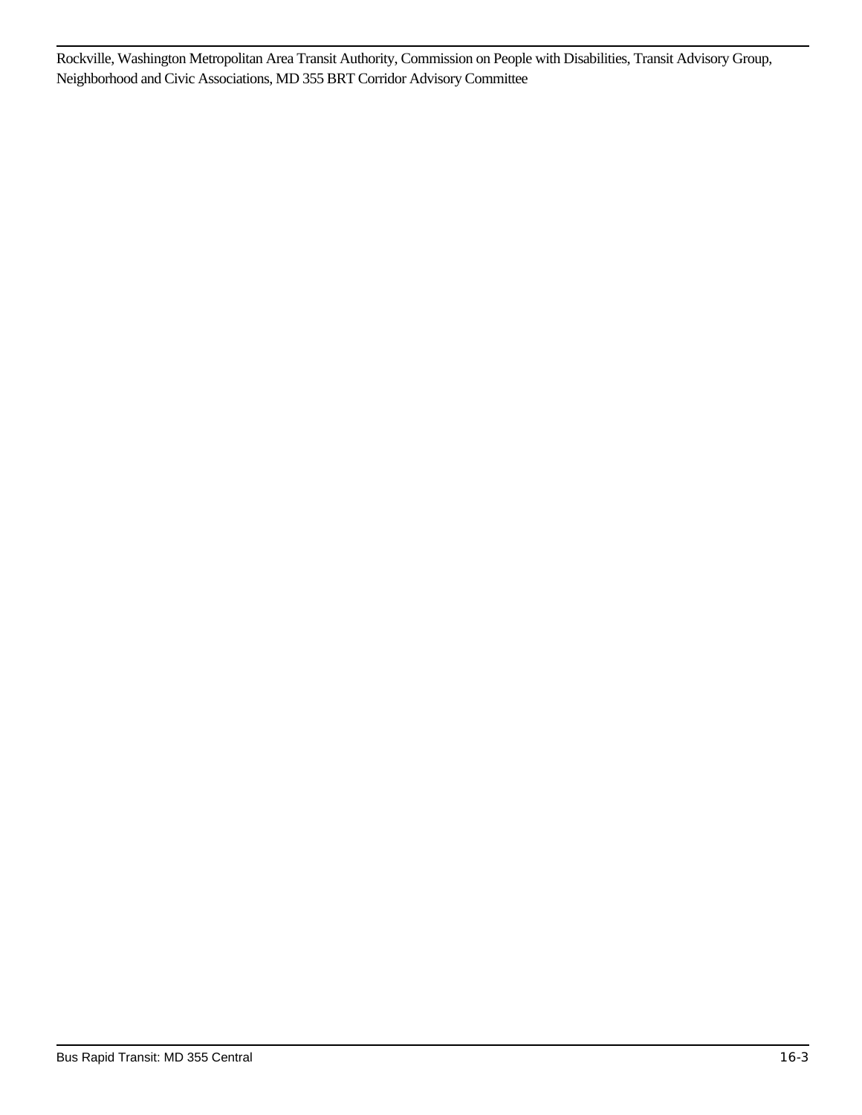Rockville, Washington Metropolitan Area Transit Authority, Commission on People with Disabilities, Transit Advisory Group, Neighborhood and Civic Associations, MD 355 BRT Corridor Advisory Committee